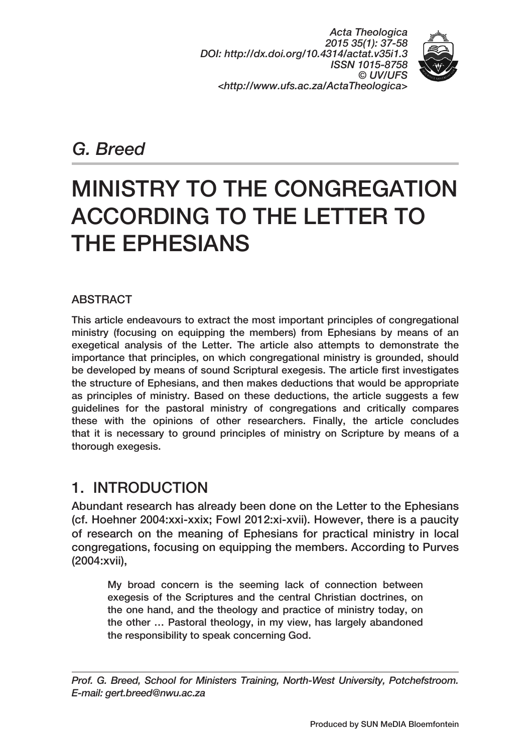*Acta Theologica 2015 35(1): 37‑58 DOI: http://dx.doi.org/10.4314/actat.v35i1.3 ISSN 1015‑8758 © UV/UFS <http://www.ufs.ac.za/ActaTheologica>*



*G. Breed*

# MINISTRY TO THE CONGREGATION ACCORDING TO THE LETTER TO THE EPHESIANS

#### ABSTRACT

This article endeavours to extract the most important principles of congregational ministry (focusing on equipping the members) from Ephesians by means of an exegetical analysis of the Letter. The article also attempts to demonstrate the importance that principles, on which congregational ministry is grounded, should be developed by means of sound Scriptural exegesis. The article first investigates the structure of Ephesians, and then makes deductions that would be appropriate as principles of ministry. Based on these deductions, the article suggests a few guidelines for the pastoral ministry of congregations and critically compares these with the opinions of other researchers. Finally, the article concludes that it is necessary to ground principles of ministry on Scripture by means of a thorough exegesis.

### 1. INTRODUCTION

Abundant research has already been done on the Letter to the Ephesians (cf. Hoehner 2004:xxi‑xxix; Fowl 2012:xi‑xvii). However, there is a paucity of research on the meaning of Ephesians for practical ministry in local congregations, focusing on equipping the members. According to Purves (2004:xvii),

My broad concern is the seeming lack of connection between exegesis of the Scriptures and the central Christian doctrines, on the one hand, and the theology and practice of ministry today, on the other … Pastoral theology, in my view, has largely abandoned the responsibility to speak concerning God.

*Prof. G. Breed, School for Ministers Training, North‑West University, Potchefstroom. E‑mail: gert.breed@nwu.ac.za*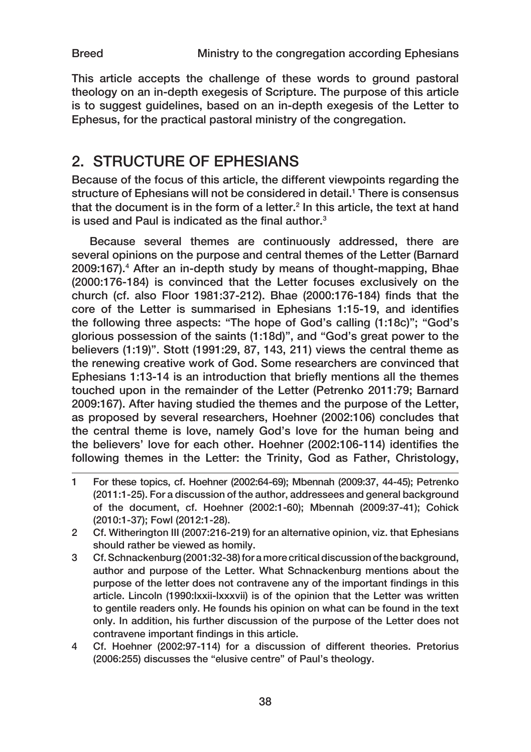This article accepts the challenge of these words to ground pastoral theology on an in‑depth exegesis of Scripture. The purpose of this article is to suggest guidelines, based on an in‑depth exegesis of the Letter to Ephesus, for the practical pastoral ministry of the congregation.

## 2. STRUCTURE OF EPHESIANS

Because of the focus of this article, the different viewpoints regarding the structure of Ephesians will not be considered in detail.1 There is consensus that the document is in the form of a letter.<sup>2</sup> In this article, the text at hand is used and Paul is indicated as the final author  $3$ 

Because several themes are continuously addressed, there are several opinions on the purpose and central themes of the Letter (Barnard 2009:167).4 After an in‑depth study by means of thought‑mapping, Bhae (2000:176‑184) is convinced that the Letter focuses exclusively on the church (cf. also Floor 1981:37‑212). Bhae (2000:176‑184) finds that the core of the Letter is summarised in Ephesians 1:15-19, and identifies the following three aspects: "The hope of God's calling (1:18c)"; "God's glorious possession of the saints (1:18d)", and "God's great power to the believers (1:19)". Stott (1991:29, 87, 143, 211) views the central theme as the renewing creative work of God. Some researchers are convinced that Ephesians 1:13‑14 is an introduction that briefly mentions all the themes touched upon in the remainder of the Letter (Petrenko 2011:79; Barnard 2009:167). After having studied the themes and the purpose of the Letter, as proposed by several researchers, Hoehner (2002:106) concludes that the central theme is love, namely God's love for the human being and the believers' love for each other. Hoehner (2002:106‑114) identifies the following themes in the Letter: the Trinity, God as Father, Christology,

- 1 For these topics, cf. Hoehner (2002:64‑69); Mbennah (2009:37, 44‑45); Petrenko (2011:1‑25). For a discussion of the author, addressees and general background of the document, cf. Hoehner (2002:1‑60); Mbennah (2009:37‑41); Cohick (2010:1‑37); Fowl (2012:1‑28).
- 2 Cf. Witherington III (2007:216-219) for an alternative opinion, viz. that Ephesians should rather be viewed as homily.
- 3 Cf. Schnackenburg (2001:32‑38) for a more critical discussion of the background, author and purpose of the Letter. What Schnackenburg mentions about the purpose of the letter does not contravene any of the important findings in this article. Lincoln (1990:lxxii‑lxxxvii) is of the opinion that the Letter was written to gentile readers only. He founds his opinion on what can be found in the text only. In addition, his further discussion of the purpose of the Letter does not contravene important findings in this article.
- 4 Cf. Hoehner (2002:97‑114) for a discussion of different theories. Pretorius (2006:255) discusses the "elusive centre" of Paul's theology.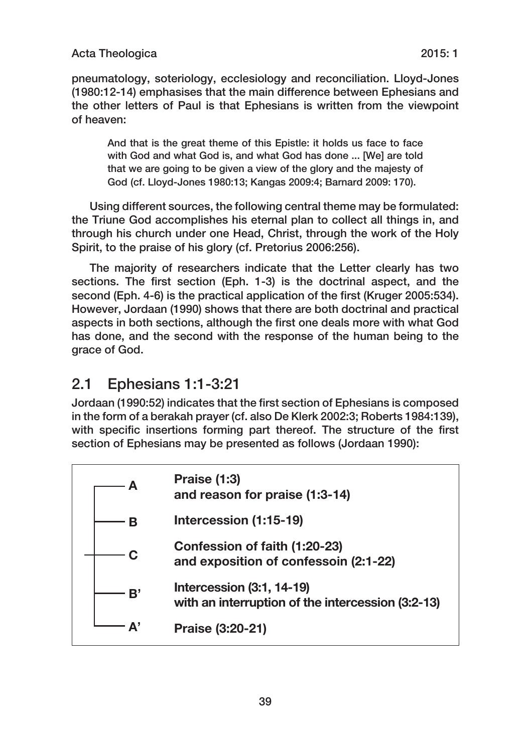pneumatology, soteriology, ecclesiology and reconciliation. Lloyd‑Jones (1980:12‑14) emphasises that the main difference between Ephesians and the other letters of Paul is that Ephesians is written from the viewpoint of heaven:

And that is the great theme of this Epistle: it holds us face to face with God and what God is, and what God has done ... [We] are told that we are going to be given a view of the glory and the majesty of God (cf. Lloyd‑Jones 1980:13; Kangas 2009:4; Barnard 2009: 170).

Using different sources, the following central theme may be formulated: the Triune God accomplishes his eternal plan to collect all things in, and through his church under one Head, Christ, through the work of the Holy Spirit, to the praise of his glory (cf. Pretorius 2006:256).

The majority of researchers indicate that the Letter clearly has two sections. The first section (Eph. 1-3) is the doctrinal aspect, and the second (Eph. 4-6) is the practical application of the first (Kruger 2005:534). However, Jordaan (1990) shows that there are both doctrinal and practical aspects in both sections, although the first one deals more with what God has done, and the second with the response of the human being to the grace of God.

### 2.1 Ephesians 1:1‑3:21

Jordaan (1990:52) indicates that the first section of Ephesians is composed in the form of a berakah prayer (cf. also De Klerk 2002:3; Roberts 1984:139), with specific insertions forming part thereof. The structure of the first section of Ephesians may be presented as follows (Jordaan 1990):

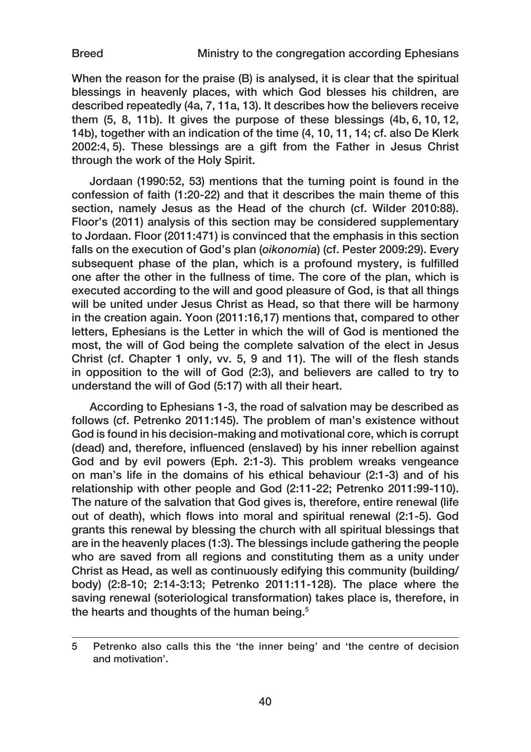When the reason for the praise (B) is analysed, it is clear that the spiritual blessings in heavenly places, with which God blesses his children, are described repeatedly (4a, 7, 11a, 13). It describes how the believers receive them (5, 8, 11b). It gives the purpose of these blessings (4b, 6, 10, 12, 14b), together with an indication of the time (4, 10, 11, 14; cf. also De Klerk 2002:4, 5). These blessings are a gift from the Father in Jesus Christ through the work of the Holy Spirit.

Jordaan (1990:52, 53) mentions that the turning point is found in the confession of faith (1:20‑22) and that it describes the main theme of this section, namely Jesus as the Head of the church (cf. Wilder 2010:88). Floor's (2011) analysis of this section may be considered supplementary to Jordaan. Floor (2011:471) is convinced that the emphasis in this section falls on the execution of God's plan (*oikonomia*) (cf. Pester 2009:29). Every subsequent phase of the plan, which is a profound mystery, is fulfilled one after the other in the fullness of time. The core of the plan, which is executed according to the will and good pleasure of God, is that all things will be united under Jesus Christ as Head, so that there will be harmony in the creation again. Yoon (2011:16,17) mentions that, compared to other letters, Ephesians is the Letter in which the will of God is mentioned the most, the will of God being the complete salvation of the elect in Jesus Christ (cf. Chapter 1 only, vv. 5, 9 and 11). The will of the flesh stands in opposition to the will of God (2:3), and believers are called to try to understand the will of God (5:17) with all their heart.

According to Ephesians 1‑3, the road of salvation may be described as follows (cf. Petrenko 2011:145). The problem of man's existence without God is found in his decision-making and motivational core, which is corrupt (dead) and, therefore, influenced (enslaved) by his inner rebellion against God and by evil powers (Eph. 2:1‑3). This problem wreaks vengeance on man's life in the domains of his ethical behaviour (2:1‑3) and of his relationship with other people and God (2:11-22; Petrenko 2011:99-110). The nature of the salvation that God gives is, therefore, entire renewal (life out of death), which flows into moral and spiritual renewal (2:1‑5). God grants this renewal by blessing the church with all spiritual blessings that are in the heavenly places (1:3). The blessings include gathering the people who are saved from all regions and constituting them as a unity under Christ as Head, as well as continuously edifying this community (building/ body) (2:8‑10; 2:14‑3:13; Petrenko 2011:11‑128). The place where the saving renewal (soteriological transformation) takes place is, therefore, in the hearts and thoughts of the human being.<sup>5</sup>

<sup>5</sup> Petrenko also calls this the 'the inner being' and 'the centre of decision and motivation'.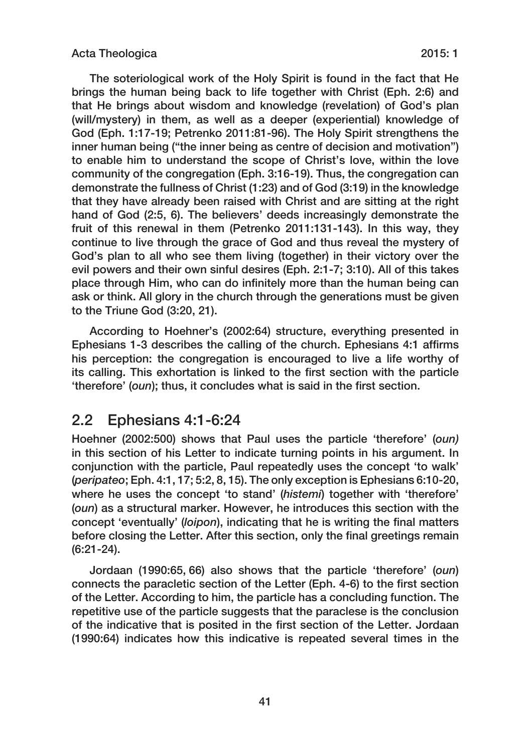The soteriological work of the Holy Spirit is found in the fact that He brings the human being back to life together with Christ (Eph. 2:6) and that He brings about wisdom and knowledge (revelation) of God's plan (will/mystery) in them, as well as a deeper (experiential) knowledge of God (Eph. 1:17‑19; Petrenko 2011:81‑96). The Holy Spirit strengthens the inner human being ("the inner being as centre of decision and motivation") to enable him to understand the scope of Christ's love, within the love community of the congregation (Eph. 3:16‑19). Thus, the congregation can demonstrate the fullness of Christ (1:23) and of God (3:19) in the knowledge that they have already been raised with Christ and are sitting at the right hand of God (2:5, 6). The believers' deeds increasingly demonstrate the fruit of this renewal in them (Petrenko 2011:131-143). In this way, they continue to live through the grace of God and thus reveal the mystery of God's plan to all who see them living (together) in their victory over the evil powers and their own sinful desires (Eph. 2:1‑7; 3:10). All of this takes place through Him, who can do infinitely more than the human being can ask or think. All glory in the church through the generations must be given to the Triune God (3:20, 21).

According to Hoehner's (2002:64) structure, everything presented in Ephesians 1‑3 describes the calling of the church. Ephesians 4:1 affirms his perception: the congregation is encouraged to live a life worthy of its calling. This exhortation is linked to the first section with the particle 'therefore' (*oun*); thus, it concludes what is said in the first section.

### 2.2 Ephesians 4:1‑6:24

Hoehner (2002:500) shows that Paul uses the particle 'therefore' (*oun)* in this section of his Letter to indicate turning points in his argument. In conjunction with the particle, Paul repeatedly uses the concept 'to walk' (*peripateo*; Eph. 4:1, 17; 5:2, 8, 15). The only exception is Ephesians 6:10‑20, where he uses the concept 'to stand' (*histemi*) together with 'therefore' (*oun*) as a structural marker. However, he introduces this section with the concept 'eventually' (*loipon*), indicating that he is writing the final matters before closing the Letter. After this section, only the final greetings remain (6:21‑24).

Jordaan (1990:65, 66) also shows that the particle 'therefore' (*oun*) connects the paracletic section of the Letter (Eph. 4‑6) to the first section of the Letter. According to him, the particle has a concluding function. The repetitive use of the particle suggests that the paraclese is the conclusion of the indicative that is posited in the first section of the Letter. Jordaan (1990:64) indicates how this indicative is repeated several times in the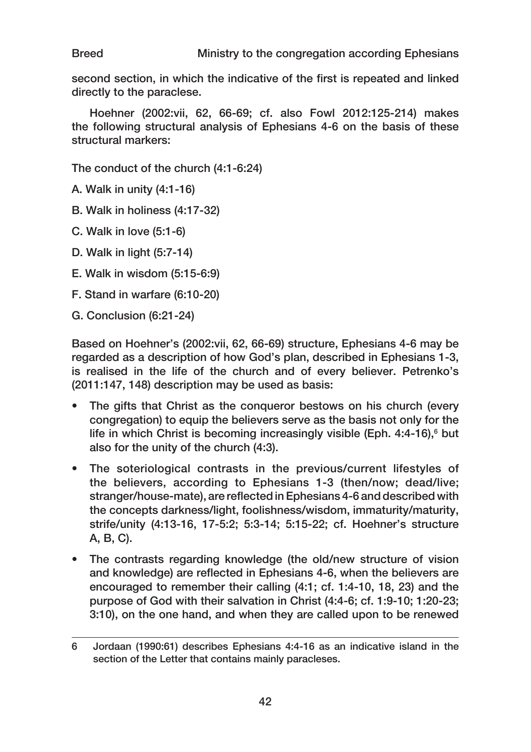second section, in which the indicative of the first is repeated and linked directly to the paraclese.

Hoehner (2002:vii, 62, 66‑69; cf. also Fowl 2012:125‑214) makes the following structural analysis of Ephesians 4‑6 on the basis of these structural markers:

The conduct of the church (4:1‑6:24)

- A. Walk in unity (4:1‑16)
- B. Walk in holiness (4:17‑32)
- C. Walk in love (5:1‑6)
- D. Walk in light (5:7‑14)
- E. Walk in wisdom (5:15‑6:9)
- F. Stand in warfare (6:10‑20)
- G. Conclusion (6:21‑24)

Based on Hoehner's (2002:vii, 62, 66‑69) structure, Ephesians 4‑6 may be regarded as a description of how God's plan, described in Ephesians 1‑3, is realised in the life of the church and of every believer. Petrenko's (2011:147, 148) description may be used as basis:

- The gifts that Christ as the conqueror bestows on his church (every congregation) to equip the believers serve as the basis not only for the life in which Christ is becoming increasingly visible (Eph. 4:4-16),<sup>6</sup> but also for the unity of the church (4:3).
- The soteriological contrasts in the previous/current lifestyles of the believers, according to Ephesians 1‑3 (then/now; dead/live; stranger/house-mate), are reflected in Ephesians 4-6 and described with the concepts darkness/light, foolishness/wisdom, immaturity/maturity, strife/unity (4:13‑16, 17‑5:2; 5:3‑14; 5:15‑22; cf. Hoehner's structure A, B, C).
- The contrasts regarding knowledge (the old/new structure of vision and knowledge) are reflected in Ephesians 4‑6, when the believers are encouraged to remember their calling (4:1; cf. 1:4‑10, 18, 23) and the purpose of God with their salvation in Christ (4:4-6; cf. 1:9-10; 1:20-23; 3:10), on the one hand, and when they are called upon to be renewed

<sup>6</sup> Jordaan (1990:61) describes Ephesians 4:4‑16 as an indicative island in the section of the Letter that contains mainly paracleses.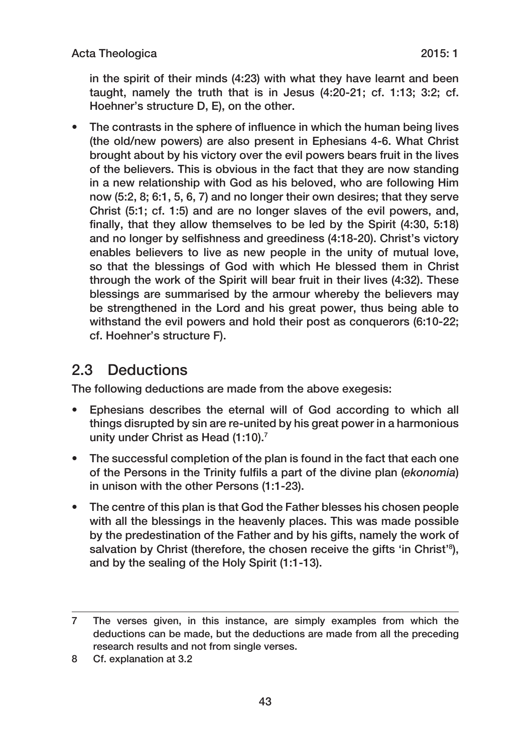in the spirit of their minds (4:23) with what they have learnt and been taught, namely the truth that is in Jesus (4:20‑21; cf. 1:13; 3:2; cf. Hoehner's structure D, E), on the other.

• The contrasts in the sphere of influence in which the human being lives (the old/new powers) are also present in Ephesians 4‑6. What Christ brought about by his victory over the evil powers bears fruit in the lives of the believers. This is obvious in the fact that they are now standing in a new relationship with God as his beloved, who are following Him now (5:2, 8; 6:1, 5, 6, 7) and no longer their own desires; that they serve Christ (5:1; cf. 1:5) and are no longer slaves of the evil powers, and, finally, that they allow themselves to be led by the Spirit (4:30, 5:18) and no longer by selfishness and greediness (4:18‑20). Christ's victory enables believers to live as new people in the unity of mutual love, so that the blessings of God with which He blessed them in Christ through the work of the Spirit will bear fruit in their lives (4:32). These blessings are summarised by the armour whereby the believers may be strengthened in the Lord and his great power, thus being able to withstand the evil powers and hold their post as conquerors (6:10-22; cf. Hoehner's structure F).

### 2.3 Deductions

The following deductions are made from the above exegesis:

- Ephesians describes the eternal will of God according to which all things disrupted by sin are re‑united by his great power in a harmonious unity under Christ as Head (1:10).<sup>7</sup>
- The successful completion of the plan is found in the fact that each one of the Persons in the Trinity fulfils a part of the divine plan (*ekonomia*) in unison with the other Persons (1:1‑23).
- The centre of this plan is that God the Father blesses his chosen people with all the blessings in the heavenly places. This was made possible by the predestination of the Father and by his gifts, namely the work of salvation by Christ (therefore, the chosen receive the gifts 'in Christ'<sup>8</sup>), and by the sealing of the Holy Spirit (1:1‑13).

<sup>7</sup> The verses given, in this instance, are simply examples from which the deductions can be made, but the deductions are made from all the preceding research results and not from single verses.

<sup>8</sup> Cf. explanation at 3.2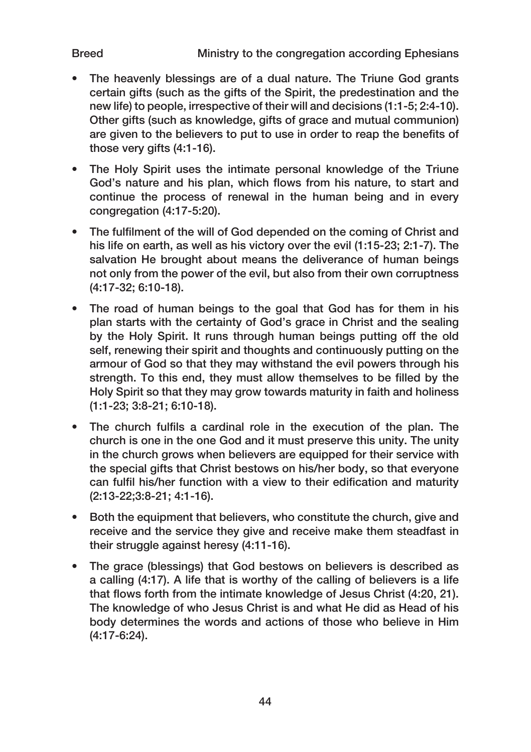Breed Ministry to the congregation according Ephesians

- The heavenly blessings are of a dual nature. The Triune God grants certain gifts (such as the gifts of the Spirit, the predestination and the new life) to people, irrespective of their will and decisions (1:1‑5; 2:4‑10). Other gifts (such as knowledge, gifts of grace and mutual communion) are given to the believers to put to use in order to reap the benefits of those very gifts (4:1‑16).
- The Holy Spirit uses the intimate personal knowledge of the Triune God's nature and his plan, which flows from his nature, to start and continue the process of renewal in the human being and in every congregation (4:17‑5:20).
- The fulfilment of the will of God depended on the coming of Christ and his life on earth, as well as his victory over the evil (1:15‑23; 2:1‑7). The salvation He brought about means the deliverance of human beings not only from the power of the evil, but also from their own corruptness (4:17‑32; 6:10‑18).
- The road of human beings to the goal that God has for them in his plan starts with the certainty of God's grace in Christ and the sealing by the Holy Spirit. It runs through human beings putting off the old self, renewing their spirit and thoughts and continuously putting on the armour of God so that they may withstand the evil powers through his strength. To this end, they must allow themselves to be filled by the Holy Spirit so that they may grow towards maturity in faith and holiness (1:1‑23; 3:8‑21; 6:10‑18).
- The church fulfils a cardinal role in the execution of the plan. The church is one in the one God and it must preserve this unity. The unity in the church grows when believers are equipped for their service with the special gifts that Christ bestows on his/her body, so that everyone can fulfil his/her function with a view to their edification and maturity (2:13‑22;3:8‑21; 4:1‑16).
- Both the equipment that believers, who constitute the church, give and receive and the service they give and receive make them steadfast in their struggle against heresy (4:11-16).
- The grace (blessings) that God bestows on believers is described as a calling (4:17). A life that is worthy of the calling of believers is a life that flows forth from the intimate knowledge of Jesus Christ (4:20, 21). The knowledge of who Jesus Christ is and what He did as Head of his body determines the words and actions of those who believe in Him (4:17‑6:24).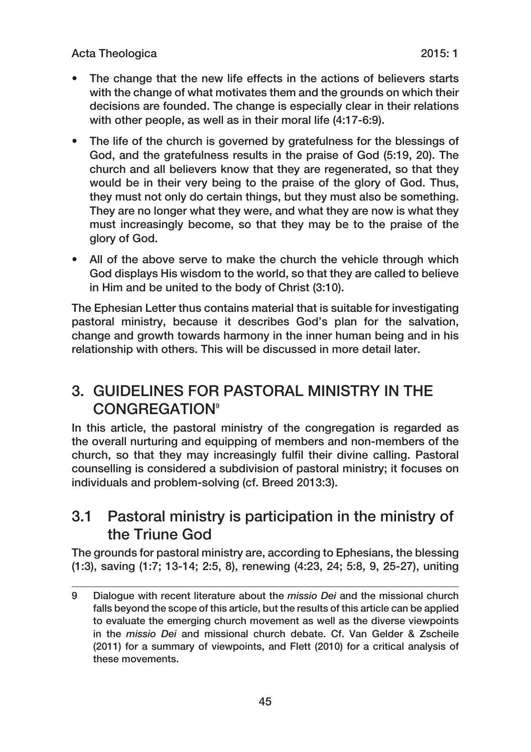- The change that the new life effects in the actions of believers starts with the change of what motivates them and the grounds on which their decisions are founded. The change is especially clear in their relations with other people, as well as in their moral life (4:17-6:9).
- The life of the church is governed by gratefulness for the blessings of God, and the gratefulness results in the praise of God (5:19, 20). The church and all believers know that they are regenerated, so that they would be in their very being to the praise of the glory of God. Thus, they must not only do certain things, but they must also be something. They are no longer what they were, and what they are now is what they must increasingly become, so that they may be to the praise of the glory of God.
- All of the above serve to make the church the vehicle through which God displays His wisdom to the world, so that they are called to believe in Him and be united to the body of Christ (3:10).

The Ephesian Letter thus contains material that is suitable for investigating pastoral ministry, because it describes God's plan for the salvation, change and growth towards harmony in the inner human being and in his relationship with others. This will be discussed in more detail later.

### 3. GUIDELINES FOR PASTORAL MINISTRY IN THE **CONGREGATION<sup>9</sup>**

In this article, the pastoral ministry of the congregation is regarded as the overall nurturing and equipping of members and non‑members of the church, so that they may increasingly fulfil their divine calling. Pastoral counselling is considered a subdivision of pastoral ministry; it focuses on individuals and problem‑solving (cf. Breed 2013:3).

### 3.1 Pastoral ministry is participation in the ministry of the Triune God

The grounds for pastoral ministry are, according to Ephesians, the blessing (1:3), saving (1:7; 13‑14; 2:5, 8), renewing (4:23, 24; 5:8, 9, 25‑27), uniting

<sup>9</sup> Dialogue with recent literature about the *missio Dei* and the missional church falls beyond the scope of this article, but the results of this article can be applied to evaluate the emerging church movement as well as the diverse viewpoints in the *missio Dei* and missional church debate. Cf. Van Gelder & Zscheile (2011) for a summary of viewpoints, and Flett (2010) for a critical analysis of these movements.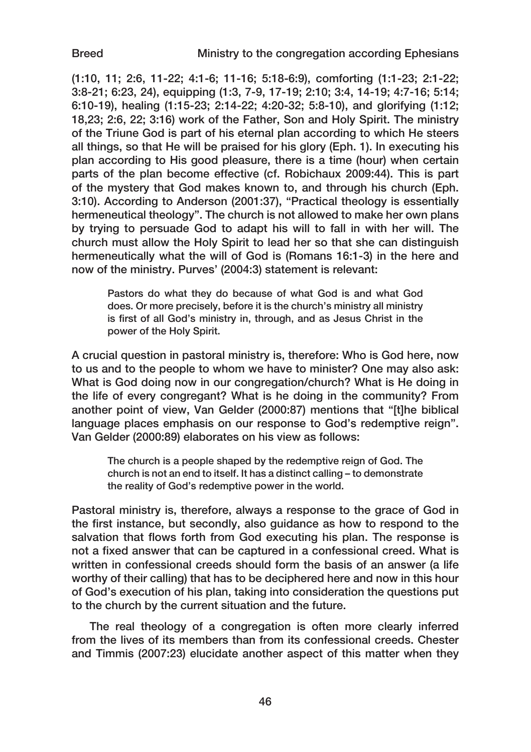(1:10, 11; 2:6, 11‑22; 4:1‑6; 11‑16; 5:18‑6:9), comforting (1:1‑23; 2:1‑22; 3:8‑21; 6:23, 24), equipping (1:3, 7‑9, 17‑19; 2:10; 3:4, 14‑19; 4:7‑16; 5:14; 6:10‑19), healing (1:15‑23; 2:14‑22; 4:20‑32; 5:8‑10), and glorifying (1:12; 18,23; 2:6, 22; 3:16) work of the Father, Son and Holy Spirit. The ministry of the Triune God is part of his eternal plan according to which He steers all things, so that He will be praised for his glory (Eph. 1). In executing his plan according to His good pleasure, there is a time (hour) when certain parts of the plan become effective (cf. Robichaux 2009:44). This is part of the mystery that God makes known to, and through his church (Eph. 3:10). According to Anderson (2001:37), "Practical theology is essentially hermeneutical theology". The church is not allowed to make her own plans by trying to persuade God to adapt his will to fall in with her will. The church must allow the Holy Spirit to lead her so that she can distinguish hermeneutically what the will of God is (Romans 16:1‑3) in the here and now of the ministry. Purves' (2004:3) statement is relevant:

Pastors do what they do because of what God is and what God does. Or more precisely, before it is the church's ministry all ministry is first of all God's ministry in, through, and as Jesus Christ in the power of the Holy Spirit.

A crucial question in pastoral ministry is, therefore: Who is God here, now to us and to the people to whom we have to minister? One may also ask: What is God doing now in our congregation/church? What is He doing in the life of every congregant? What is he doing in the community? From another point of view, Van Gelder (2000:87) mentions that "[t]he biblical language places emphasis on our response to God's redemptive reign". Van Gelder (2000:89) elaborates on his view as follows:

The church is a people shaped by the redemptive reign of God. The church is not an end to itself. It has a distinct calling – to demonstrate the reality of God's redemptive power in the world.

Pastoral ministry is, therefore, always a response to the grace of God in the first instance, but secondly, also guidance as how to respond to the salvation that flows forth from God executing his plan. The response is not a fixed answer that can be captured in a confessional creed. What is written in confessional creeds should form the basis of an answer (a life worthy of their calling) that has to be deciphered here and now in this hour of God's execution of his plan, taking into consideration the questions put to the church by the current situation and the future.

The real theology of a congregation is often more clearly inferred from the lives of its members than from its confessional creeds. Chester and Timmis (2007:23) elucidate another aspect of this matter when they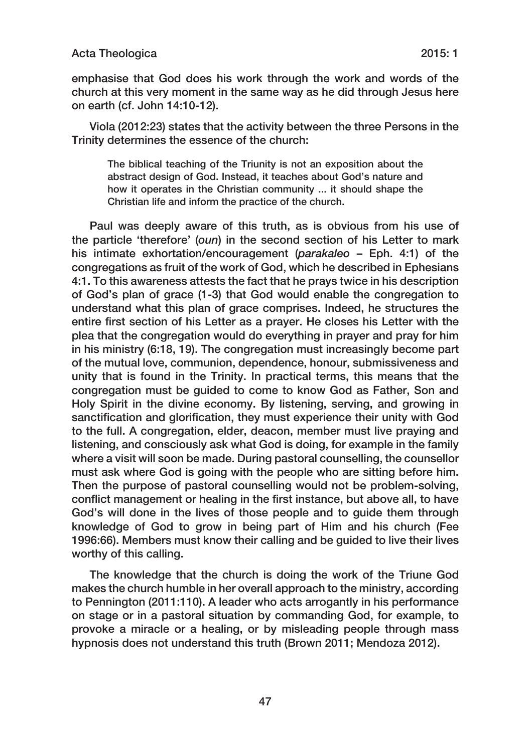emphasise that God does his work through the work and words of the church at this very moment in the same way as he did through Jesus here on earth (cf. John 14:10‑12).

Viola (2012:23) states that the activity between the three Persons in the Trinity determines the essence of the church:

The biblical teaching of the Triunity is not an exposition about the abstract design of God. Instead, it teaches about God's nature and how it operates in the Christian community ... it should shape the Christian life and inform the practice of the church.

Paul was deeply aware of this truth, as is obvious from his use of the particle 'therefore' (*oun*) in the second section of his Letter to mark his intimate exhortation/encouragement (*parakaleo* – Eph. 4:1) of the congregations as fruit of the work of God, which he described in Ephesians 4:1. To this awareness attests the fact that he prays twice in his description of God's plan of grace (1‑3) that God would enable the congregation to understand what this plan of grace comprises. Indeed, he structures the entire first section of his Letter as a prayer. He closes his Letter with the plea that the congregation would do everything in prayer and pray for him in his ministry (6:18, 19). The congregation must increasingly become part of the mutual love, communion, dependence, honour, submissiveness and unity that is found in the Trinity. In practical terms, this means that the congregation must be guided to come to know God as Father, Son and Holy Spirit in the divine economy. By listening, serving, and growing in sanctification and glorification, they must experience their unity with God to the full. A congregation, elder, deacon, member must live praying and listening, and consciously ask what God is doing, for example in the family where a visit will soon be made. During pastoral counselling, the counsellor must ask where God is going with the people who are sitting before him. Then the purpose of pastoral counselling would not be problem-solving, conflict management or healing in the first instance, but above all, to have God's will done in the lives of those people and to guide them through knowledge of God to grow in being part of Him and his church (Fee 1996:66). Members must know their calling and be guided to live their lives worthy of this calling.

The knowledge that the church is doing the work of the Triune God makes the church humble in her overall approach to the ministry, according to Pennington (2011:110). A leader who acts arrogantly in his performance on stage or in a pastoral situation by commanding God, for example, to provoke a miracle or a healing, or by misleading people through mass hypnosis does not understand this truth (Brown 2011; Mendoza 2012).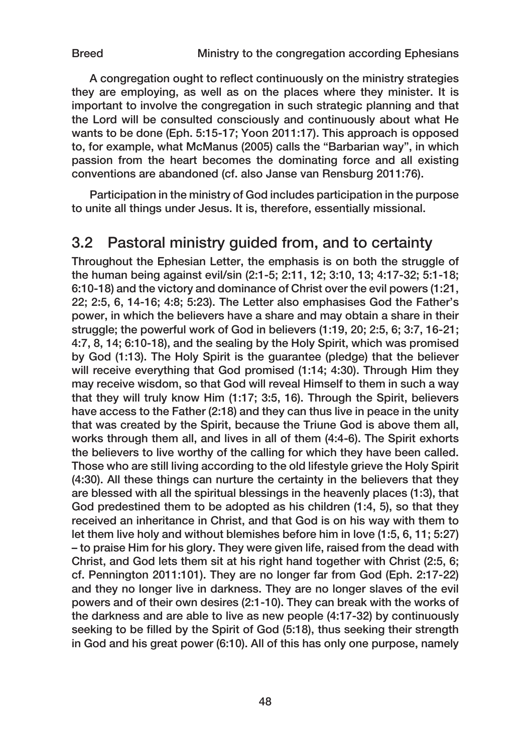A congregation ought to reflect continuously on the ministry strategies they are employing, as well as on the places where they minister. It is important to involve the congregation in such strategic planning and that the Lord will be consulted consciously and continuously about what He wants to be done (Eph. 5:15-17; Yoon 2011:17). This approach is opposed to, for example, what McManus (2005) calls the "Barbarian way", in which passion from the heart becomes the dominating force and all existing conventions are abandoned (cf. also Janse van Rensburg 2011:76).

Participation in the ministry of God includes participation in the purpose to unite all things under Jesus. It is, therefore, essentially missional.

### 3.2 Pastoral ministry guided from, and to certainty

Throughout the Ephesian Letter, the emphasis is on both the struggle of the human being against evil/sin (2:1‑5; 2:11, 12; 3:10, 13; 4:17‑32; 5:1‑18; 6:10‑18) and the victory and dominance of Christ over the evil powers (1:21, 22; 2:5, 6, 14‑16; 4:8; 5:23). The Letter also emphasises God the Father's power, in which the believers have a share and may obtain a share in their struggle; the powerful work of God in believers (1:19, 20; 2:5, 6; 3:7, 16‑21; 4:7, 8, 14; 6:10‑18), and the sealing by the Holy Spirit, which was promised by God (1:13). The Holy Spirit is the guarantee (pledge) that the believer will receive everything that God promised (1:14; 4:30). Through Him they may receive wisdom, so that God will reveal Himself to them in such a way that they will truly know Him (1:17; 3:5, 16). Through the Spirit, believers have access to the Father (2:18) and they can thus live in peace in the unity that was created by the Spirit, because the Triune God is above them all, works through them all, and lives in all of them (4:4‑6). The Spirit exhorts the believers to live worthy of the calling for which they have been called. Those who are still living according to the old lifestyle grieve the Holy Spirit (4:30). All these things can nurture the certainty in the believers that they are blessed with all the spiritual blessings in the heavenly places (1:3), that God predestined them to be adopted as his children (1:4, 5), so that they received an inheritance in Christ, and that God is on his way with them to let them live holy and without blemishes before him in love (1:5, 6, 11; 5:27) – to praise Him for his glory. They were given life, raised from the dead with Christ, and God lets them sit at his right hand together with Christ (2:5, 6; cf. Pennington 2011:101). They are no longer far from God (Eph. 2:17‑22) and they no longer live in darkness. They are no longer slaves of the evil powers and of their own desires (2:1‑10). They can break with the works of the darkness and are able to live as new people (4:17‑32) by continuously seeking to be filled by the Spirit of God (5:18), thus seeking their strength in God and his great power (6:10). All of this has only one purpose, namely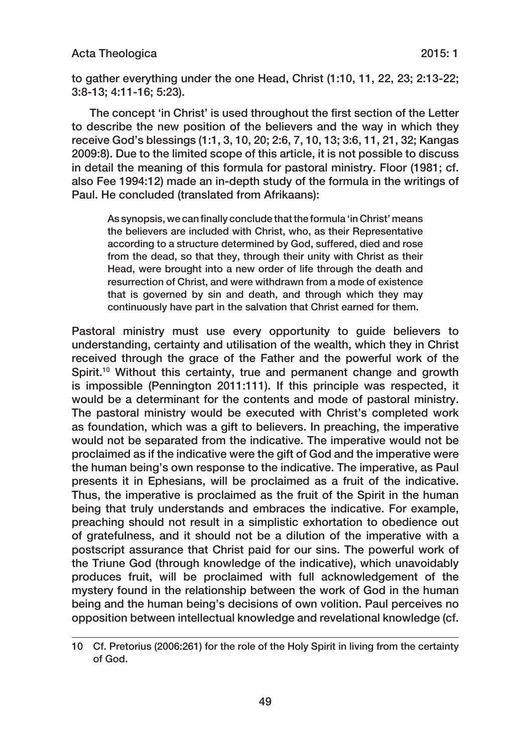to gather everything under the one Head, Christ (1:10, 11, 22, 23; 2:13‑22; 3:8‑13; 4:11‑16; 5:23).

The concept 'in Christ' is used throughout the first section of the Letter to describe the new position of the believers and the way in which they receive God's blessings (1:1, 3, 10, 20; 2:6, 7, 10, 13; 3:6, 11, 21, 32; Kangas 2009:8). Due to the limited scope of this article, it is not possible to discuss in detail the meaning of this formula for pastoral ministry. Floor (1981; cf. also Fee 1994:12) made an in‑depth study of the formula in the writings of Paul. He concluded (translated from Afrikaans):

As synopsis, we can finally conclude that the formula 'in Christ' means the believers are included with Christ, who, as their Representative according to a structure determined by God, suffered, died and rose from the dead, so that they, through their unity with Christ as their Head, were brought into a new order of life through the death and resurrection of Christ, and were withdrawn from a mode of existence that is governed by sin and death, and through which they may continuously have part in the salvation that Christ earned for them.

Pastoral ministry must use every opportunity to guide believers to understanding, certainty and utilisation of the wealth, which they in Christ received through the grace of the Father and the powerful work of the Spirit.<sup>10</sup> Without this certainty, true and permanent change and growth is impossible (Pennington 2011:111). If this principle was respected, it would be a determinant for the contents and mode of pastoral ministry. The pastoral ministry would be executed with Christ's completed work as foundation, which was a gift to believers. In preaching, the imperative would not be separated from the indicative. The imperative would not be proclaimed as if the indicative were the gift of God and the imperative were the human being's own response to the indicative. The imperative, as Paul presents it in Ephesians, will be proclaimed as a fruit of the indicative. Thus, the imperative is proclaimed as the fruit of the Spirit in the human being that truly understands and embraces the indicative. For example, preaching should not result in a simplistic exhortation to obedience out of gratefulness, and it should not be a dilution of the imperative with a postscript assurance that Christ paid for our sins. The powerful work of the Triune God (through knowledge of the indicative), which unavoidably produces fruit, will be proclaimed with full acknowledgement of the mystery found in the relationship between the work of God in the human being and the human being's decisions of own volition. Paul perceives no opposition between intellectual knowledge and revelational knowledge (cf.

<sup>10</sup> Cf. Pretorius (2006:261) for the role of the Holy Spirit in living from the certainty of God.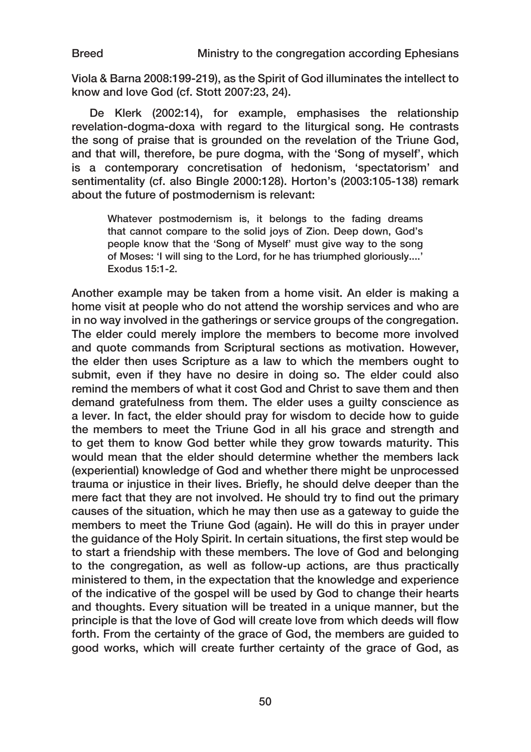Breed Ministry to the congregation according Ephesians

Viola & Barna 2008:199‑219), as the Spirit of God illuminates the intellect to know and love God (cf. Stott 2007:23, 24).

De Klerk (2002:14), for example, emphasises the relationship revelation-dogma-doxa with regard to the liturgical song. He contrasts the song of praise that is grounded on the revelation of the Triune God, and that will, therefore, be pure dogma, with the 'Song of myself', which is a contemporary concretisation of hedonism, 'spectatorism' and sentimentality (cf. also Bingle 2000:128). Horton's (2003:105-138) remark about the future of postmodernism is relevant:

Whatever postmodernism is, it belongs to the fading dreams that cannot compare to the solid joys of Zion. Deep down, God's people know that the 'Song of Myself' must give way to the song of Moses: 'I will sing to the Lord, for he has triumphed gloriously....' Exodus 15:1‑2.

Another example may be taken from a home visit. An elder is making a home visit at people who do not attend the worship services and who are in no way involved in the gatherings or service groups of the congregation. The elder could merely implore the members to become more involved and quote commands from Scriptural sections as motivation. However, the elder then uses Scripture as a law to which the members ought to submit, even if they have no desire in doing so. The elder could also remind the members of what it cost God and Christ to save them and then demand gratefulness from them. The elder uses a guilty conscience as a lever. In fact, the elder should pray for wisdom to decide how to guide the members to meet the Triune God in all his grace and strength and to get them to know God better while they grow towards maturity. This would mean that the elder should determine whether the members lack (experiential) knowledge of God and whether there might be unprocessed trauma or injustice in their lives. Briefly, he should delve deeper than the mere fact that they are not involved. He should try to find out the primary causes of the situation, which he may then use as a gateway to guide the members to meet the Triune God (again). He will do this in prayer under the guidance of the Holy Spirit. In certain situations, the first step would be to start a friendship with these members. The love of God and belonging to the congregation, as well as follow‑up actions, are thus practically ministered to them, in the expectation that the knowledge and experience of the indicative of the gospel will be used by God to change their hearts and thoughts. Every situation will be treated in a unique manner, but the principle is that the love of God will create love from which deeds will flow forth. From the certainty of the grace of God, the members are guided to good works, which will create further certainty of the grace of God, as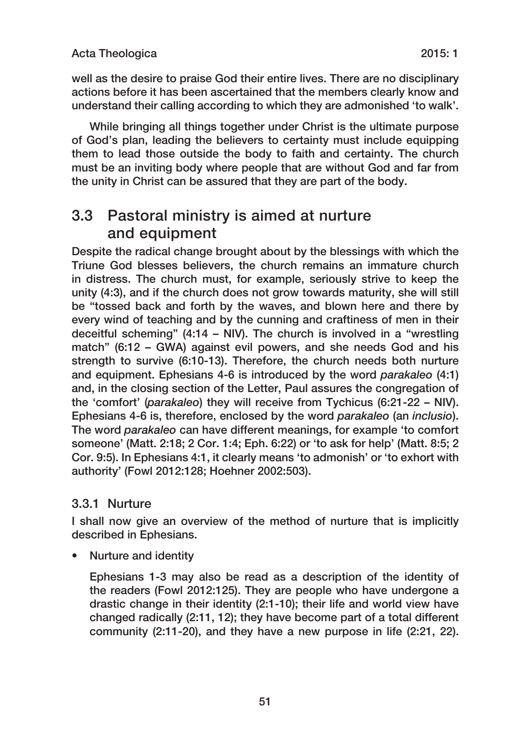well as the desire to praise God their entire lives. There are no disciplinary actions before it has been ascertained that the members clearly know and understand their calling according to which they are admonished 'to walk'.

While bringing all things together under Christ is the ultimate purpose of God's plan, leading the believers to certainty must include equipping them to lead those outside the body to faith and certainty. The church must be an inviting body where people that are without God and far from the unity in Christ can be assured that they are part of the body.

### 3.3 Pastoral ministry is aimed at nurture and equipment

Despite the radical change brought about by the blessings with which the Triune God blesses believers, the church remains an immature church in distress. The church must, for example, seriously strive to keep the unity (4:3), and if the church does not grow towards maturity, she will still be "tossed back and forth by the waves, and blown here and there by every wind of teaching and by the cunning and craftiness of men in their deceitful scheming" (4:14 – NIV). The church is involved in a "wrestling match" (6:12 – GWA) against evil powers, and she needs God and his strength to survive (6:10-13). Therefore, the church needs both nurture and equipment. Ephesians 4‑6 is introduced by the word *parakaleo* (4:1) and, in the closing section of the Letter, Paul assures the congregation of the 'comfort' (*parakaleo*) they will receive from Tychicus (6:21‑22 – NIV). Ephesians 4‑6 is, therefore, enclosed by the word *parakaleo* (an *inclusio*). The word *parakaleo* can have different meanings, for example 'to comfort someone' (Matt. 2:18; 2 Cor. 1:4; Eph. 6:22) or 'to ask for help' (Matt. 8:5; 2 Cor. 9:5). In Ephesians 4:1, it clearly means 'to admonish' or 'to exhort with authority' (Fowl 2012:128; Hoehner 2002:503).

### 3.3.1 Nurture

I shall now give an overview of the method of nurture that is implicitly described in Ephesians.

• Nurture and identity

Ephesians 1‑3 may also be read as a description of the identity of the readers (Fowl 2012:125). They are people who have undergone a drastic change in their identity (2:1‑10); their life and world view have changed radically (2:11, 12); they have become part of a total different community (2:11‑20), and they have a new purpose in life (2:21, 22).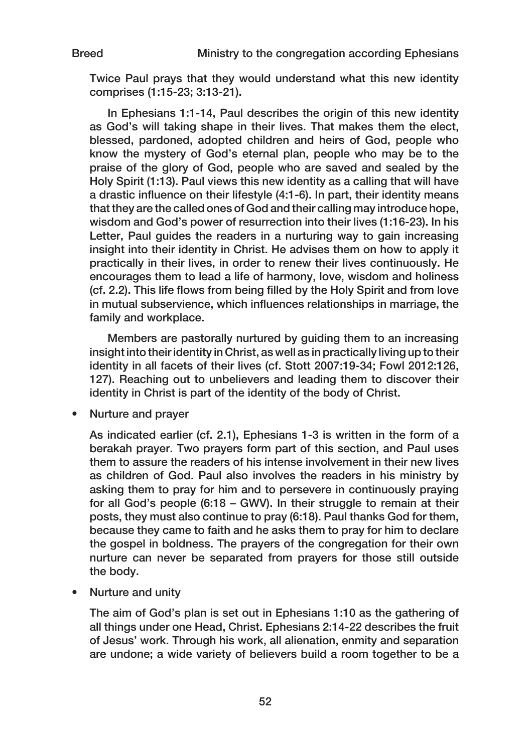Twice Paul prays that they would understand what this new identity comprises (1:15‑23; 3:13‑21).

In Ephesians 1:1-14. Paul describes the origin of this new identity as God's will taking shape in their lives. That makes them the elect, blessed, pardoned, adopted children and heirs of God, people who know the mystery of God's eternal plan, people who may be to the praise of the glory of God, people who are saved and sealed by the Holy Spirit (1:13). Paul views this new identity as a calling that will have a drastic influence on their lifestyle (4:1‑6). In part, their identity means that they are the called ones of God and their calling may introduce hope, wisdom and God's power of resurrection into their lives (1:16-23). In his Letter, Paul guides the readers in a nurturing way to gain increasing insight into their identity in Christ. He advises them on how to apply it practically in their lives, in order to renew their lives continuously. He encourages them to lead a life of harmony, love, wisdom and holiness (cf. 2.2). This life flows from being filled by the Holy Spirit and from love in mutual subservience, which influences relationships in marriage, the family and workplace.

Members are pastorally nurtured by guiding them to an increasing insight into their identity in Christ, as well as in practically living up to their identity in all facets of their lives (cf. Stott 2007:19‑34; Fowl 2012:126, 127). Reaching out to unbelievers and leading them to discover their identity in Christ is part of the identity of the body of Christ.

• Nurture and prayer

As indicated earlier (cf. 2.1), Ephesians 1-3 is written in the form of a berakah prayer. Two prayers form part of this section, and Paul uses them to assure the readers of his intense involvement in their new lives as children of God. Paul also involves the readers in his ministry by asking them to pray for him and to persevere in continuously praying for all God's people (6:18 – GWV). In their struggle to remain at their posts, they must also continue to pray (6:18). Paul thanks God for them, because they came to faith and he asks them to pray for him to declare the gospel in boldness. The prayers of the congregation for their own nurture can never be separated from prayers for those still outside the body.

• Nurture and unity

The aim of God's plan is set out in Ephesians 1:10 as the gathering of all things under one Head, Christ. Ephesians 2:14‑22 describes the fruit of Jesus' work. Through his work, all alienation, enmity and separation are undone; a wide variety of believers build a room together to be a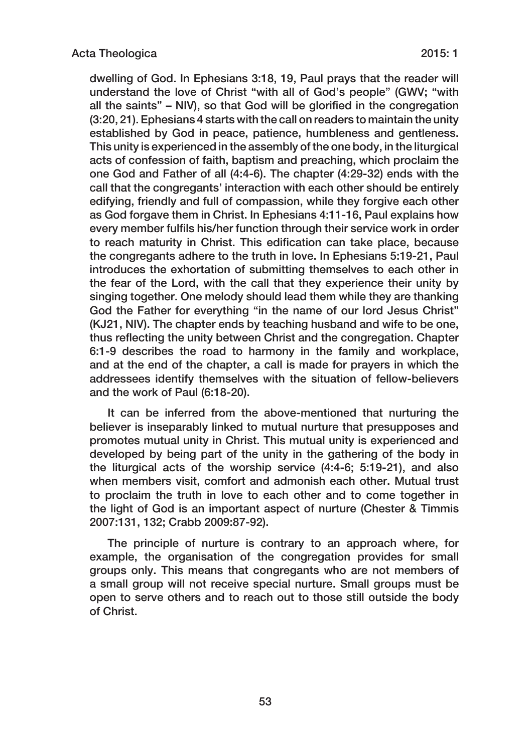dwelling of God. In Ephesians 3:18, 19, Paul prays that the reader will understand the love of Christ "with all of God's people" (GWV; "with all the saints" – NIV), so that God will be glorified in the congregation (3:20, 21). Ephesians 4 starts with the call on readers to maintain the unity established by God in peace, patience, humbleness and gentleness. This unity is experienced in the assembly of the one body, in the liturgical acts of confession of faith, baptism and preaching, which proclaim the one God and Father of all (4:4‑6). The chapter (4:29‑32) ends with the call that the congregants' interaction with each other should be entirely edifying, friendly and full of compassion, while they forgive each other as God forgave them in Christ. In Ephesians 4:11‑16, Paul explains how every member fulfils his/her function through their service work in order to reach maturity in Christ. This edification can take place, because the congregants adhere to the truth in love. In Ephesians 5:19‑21, Paul introduces the exhortation of submitting themselves to each other in the fear of the Lord, with the call that they experience their unity by singing together. One melody should lead them while they are thanking God the Father for everything "in the name of our lord Jesus Christ" (KJ21, NIV). The chapter ends by teaching husband and wife to be one, thus reflecting the unity between Christ and the congregation. Chapter 6:1‑9 describes the road to harmony in the family and workplace, and at the end of the chapter, a call is made for prayers in which the addressees identify themselves with the situation of fellow-believers and the work of Paul (6:18‑20).

It can be inferred from the above-mentioned that nurturing the believer is inseparably linked to mutual nurture that presupposes and promotes mutual unity in Christ. This mutual unity is experienced and developed by being part of the unity in the gathering of the body in the liturgical acts of the worship service (4:4‑6; 5:19‑21), and also when members visit, comfort and admonish each other. Mutual trust to proclaim the truth in love to each other and to come together in the light of God is an important aspect of nurture (Chester & Timmis 2007:131, 132; Crabb 2009:87‑92).

The principle of nurture is contrary to an approach where, for example, the organisation of the congregation provides for small groups only. This means that congregants who are not members of a small group will not receive special nurture. Small groups must be open to serve others and to reach out to those still outside the body of Christ.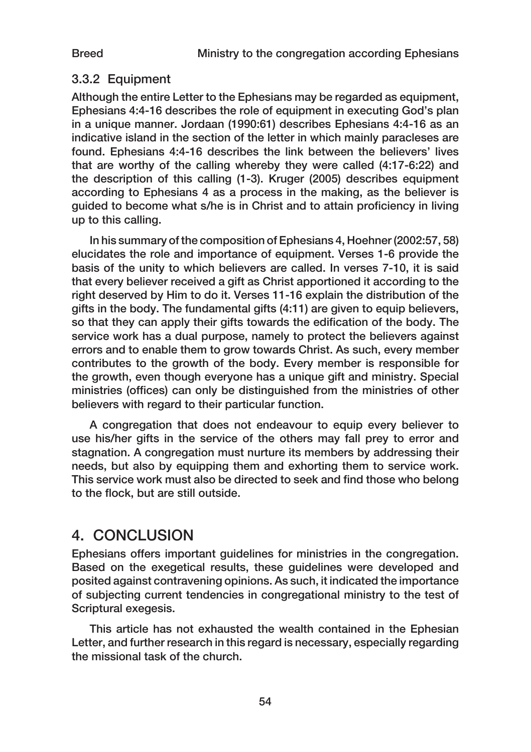### 3.3.2 Equipment

Although the entire Letter to the Ephesians may be regarded as equipment, Ephesians 4:4‑16 describes the role of equipment in executing God's plan in a unique manner. Jordaan (1990:61) describes Ephesians 4:4‑16 as an indicative island in the section of the letter in which mainly paracleses are found. Ephesians 4:4‑16 describes the link between the believers' lives that are worthy of the calling whereby they were called (4:17‑6:22) and the description of this calling (1‑3). Kruger (2005) describes equipment according to Ephesians 4 as a process in the making, as the believer is guided to become what s/he is in Christ and to attain proficiency in living up to this calling.

In his summary of the composition of Ephesians 4, Hoehner (2002:57, 58) elucidates the role and importance of equipment. Verses 1‑6 provide the basis of the unity to which believers are called. In verses 7‑10, it is said that every believer received a gift as Christ apportioned it according to the right deserved by Him to do it. Verses 11‑16 explain the distribution of the gifts in the body. The fundamental gifts (4:11) are given to equip believers, so that they can apply their gifts towards the edification of the body. The service work has a dual purpose, namely to protect the believers against errors and to enable them to grow towards Christ. As such, every member contributes to the growth of the body. Every member is responsible for the growth, even though everyone has a unique gift and ministry. Special ministries (offices) can only be distinguished from the ministries of other believers with regard to their particular function.

A congregation that does not endeavour to equip every believer to use his/her gifts in the service of the others may fall prey to error and stagnation. A congregation must nurture its members by addressing their needs, but also by equipping them and exhorting them to service work. This service work must also be directed to seek and find those who belong to the flock, but are still outside.

### 4. CONCLUSION

Ephesians offers important guidelines for ministries in the congregation. Based on the exegetical results, these guidelines were developed and posited against contravening opinions. As such, it indicated the importance of subjecting current tendencies in congregational ministry to the test of Scriptural exegesis.

This article has not exhausted the wealth contained in the Ephesian Letter, and further research in this regard is necessary, especially regarding the missional task of the church.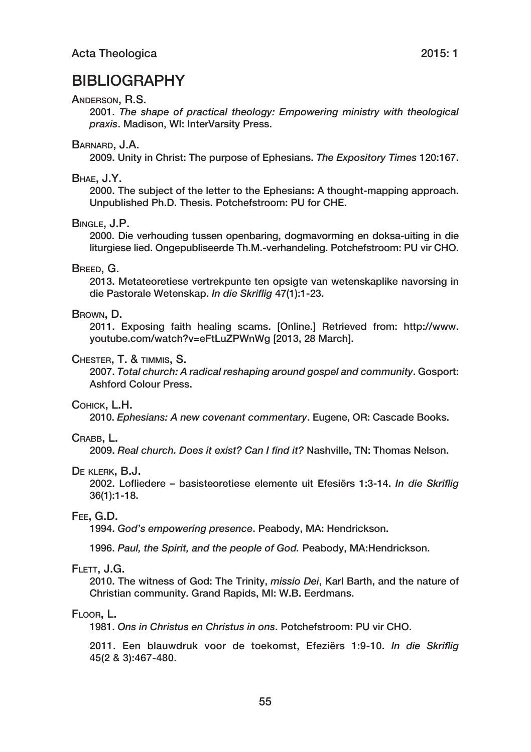### BIBLIOGRAPHY

#### Anderson, R.S.

2001. *The shape of practical theology: Empowering ministry with theological praxis*. Madison, WI: InterVarsity Press.

#### Barnard, J.A.

2009. Unity in Christ: The purpose of Ephesians. *The Expository Times* 120:167.

#### Bhae, J.Y.

2000. The subject of the letter to the Ephesians: A thought-mapping approach. Unpublished Ph.D. Thesis. Potchefstroom: PU for CHE.

#### Bingle, J.P.

2000. Die verhouding tussen openbaring, dogmavorming en doksa-uiting in die liturgiese lied. Ongepubliseerde Th.M.‑verhandeling. Potchefstroom: PU vir CHO.

#### Breed, G.

2013. Metateoretiese vertrekpunte ten opsigte van wetenskaplike navorsing in die Pastorale Wetenskap. *In die Skriflig* 47(1):1‑23.

#### Brown, D.

2011. Exposing faith healing scams. [Online.] Retrieved from: http://www. youtube.com/watch?v=eFtLuZPWnWg [2013, 28 March].

#### Chester, T. & timmis, S.

2007. *Total church: A radical reshaping around gospel and community*. Gosport: Ashford Colour Press.

#### Cohick, L.H.

2010. *Ephesians: A new covenant commentary*. Eugene, OR: Cascade Books.

#### CRABB, L.

2009. *Real church. Does it exist? Can I find it?* Nashville, TN: Thomas Nelson.

#### De klerk, B.J.

2002. Lofliedere – basisteoretiese elemente uit Efesiërs 1:3‑14. *In die Skriflig* 36(1):1‑18.

#### Fee, G.D.

1994. *God's empowering presence*. Peabody, MA: Hendrickson.

1996. *Paul, the Spirit, and the people of God.* Peabody, MA:Hendrickson.

#### FLETT, J.G.

2010. The witness of God: The Trinity, *missio Dei*, Karl Barth, and the nature of Christian community. Grand Rapids, MI: W.B. Eerdmans.

#### Floor, L.

1981. *Ons in Christus en Christus in ons*. Potchefstroom: PU vir CHO.

2011. Een blauwdruk voor de toekomst, Efeziërs 1:9‑10. *In die Skriflig* 45(2 & 3):467‑480.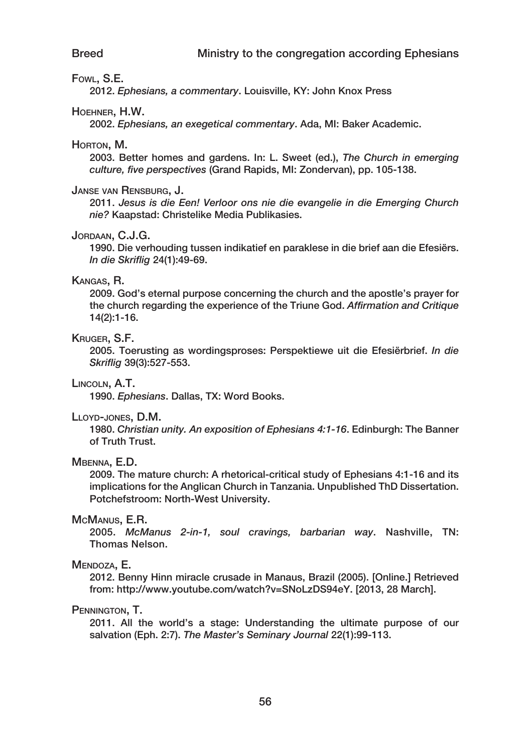#### Fowl, S.E.

2012. *Ephesians, a commentary*. Louisville, KY: John Knox Press

#### Hoehner, H.W.

2002. *Ephesians, an exegetical commentary*. Ada, MI: Baker Academic.

#### HORTON, M.

2003. Better homes and gardens. In: L. Sweet (ed.), *The Church in emerging culture, five perspectives* (Grand Rapids, MI: Zondervan), pp. 105‑138.

#### Janse van Rensburg, J.

2011. *Jesus is die Een! Verloor ons nie die evangelie in die Emerging Church nie?* Kaapstad: Christelike Media Publikasies.

#### JORDAAN, C.J.G.

1990. Die verhouding tussen indikatief en paraklese in die brief aan die Efesiërs. *In die Skriflig* 24(1):49‑69.

#### Kangas, R.

2009. God's eternal purpose concerning the church and the apostle's prayer for the church regarding the experience of the Triune God. *Affirmation and Critique* 14(2):1‑16.

#### Kruger, S.F.

2005. Toerusting as wordingsproses: Perspektiewe uit die Efesiërbrief. *In die Skriflig* 39(3):527‑553.

#### Lincoln, A.T.

1990. *Ephesians*. Dallas, TX: Word Books.

#### Lloyd‑jones, D.M.

1980. *Christian unity. An exposition of Ephesians 4:1‑16*. Edinburgh: The Banner of Truth Trust.

#### Mbenna, E.D.

2009. The mature church: A rhetorical-critical study of Ephesians 4:1-16 and its implications for the Anglican Church in Tanzania. Unpublished ThD Dissertation. Potchefstroom: North‑West University.

#### McManus, E.R.

2005. *McManus 2‑in‑1, soul cravings, barbarian way*. Nashville, TN: Thomas Nelson.

#### Mendoza, E.

2012. Benny Hinn miracle crusade in Manaus, Brazil (2005). [Online.] Retrieved from: http://www.youtube.com/watch?v=SNoLzDS94eY. [2013, 28 March].

#### Pennington, T.

2011. All the world's a stage: Understanding the ultimate purpose of our salvation (Eph. 2:7). *The Master's Seminary Journal* 22(1):99-113.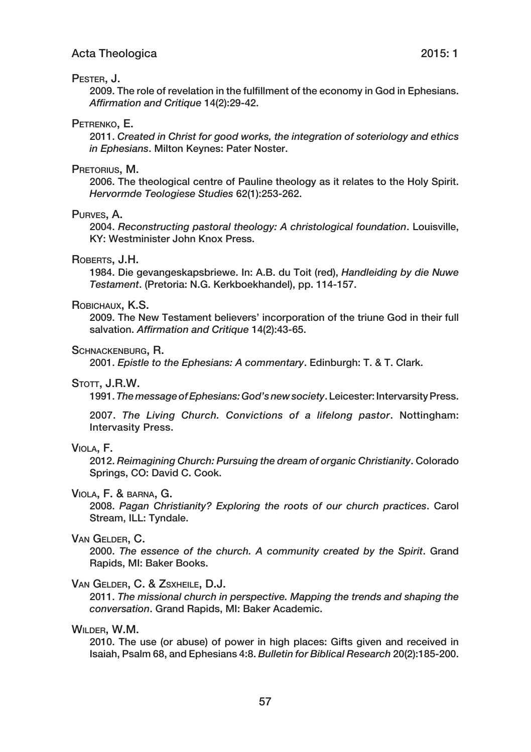#### Pester, J.

2009. The role of revelation in the fulfillment of the economy in God in Ephesians. *Affirmation and Critique* 14(2):29‑42.

#### Petrenko, E.

2011. *Created in Christ for good works, the integration of soteriology and ethics in Ephesians*. Milton Keynes: Pater Noster.

#### PRETORIUS, M.

2006. The theological centre of Pauline theology as it relates to the Holy Spirit. *Hervormde Teologiese Studies* 62(1):253‑262.

#### Purves, A.

2004. *Reconstructing pastoral theology: A christological foundation*. Louisville, KY: Westminister John Knox Press.

#### ROBERTS, J.H.

1984. Die gevangeskapsbriewe. In: A.B. du Toit (red), *Handleiding by die Nuwe Testament*. (Pretoria: N.G. Kerkboekhandel), pp. 114‑157.

#### ROBICHAUX, K.S.

2009. The New Testament believers' incorporation of the triune God in their full salvation. *Affirmation and Critique* 14(2):43‑65.

#### Schnackenburg, R.

2001. *Epistle to the Ephesians: A commentary*. Edinburgh: T. & T. Clark.

#### STOTT, J.R.W.

1991. *The message of Ephesians: God's new society*. Leicester: IntervarsityPress.

2007. *The Living Church. Convictions of a lifelong pastor*. Nottingham: Intervasity Press.

#### Viola, F.

2012. *Reimagining Church: Pursuing the dream of organic Christianity*. Colorado Springs, CO: David C. Cook.

#### Viola, F. & barna, G.

2008. *Pagan Christianity? Exploring the roots of our church practices*. Carol Stream, ILL: Tyndale.

#### Van Gelder, C.

2000. *The essence of the church. A community created by the Spirit*. Grand Rapids, MI: Baker Books.

#### Van Gelder, C. & Zsxheile, D.J.

2011. *The missional church in perspective. Mapping the trends and shaping the conversation*. Grand Rapids, MI: Baker Academic.

#### Wilder, W.M.

2010. The use (or abuse) of power in high places: Gifts given and received in Isaiah, Psalm 68, and Ephesians 4:8. *Bulletin for Biblical Research* 20(2):185‑200.